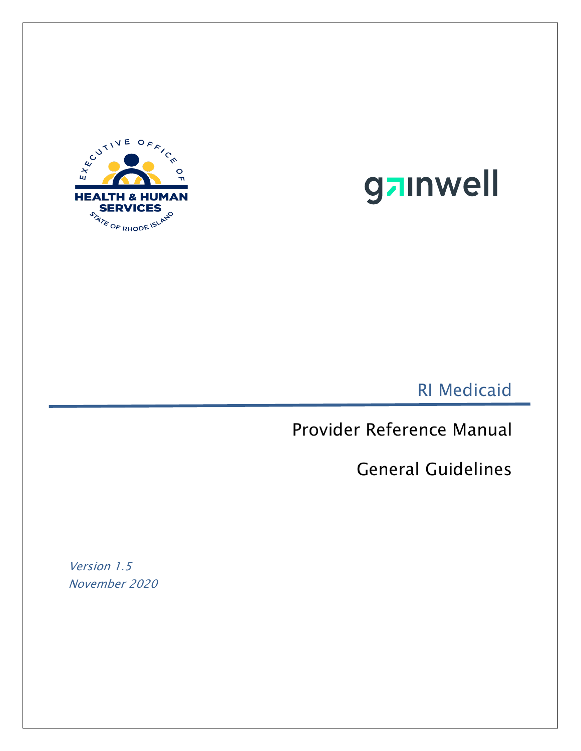



RI Medicaid

Provider Reference Manual

General Guidelines

Version 1.5 November 2020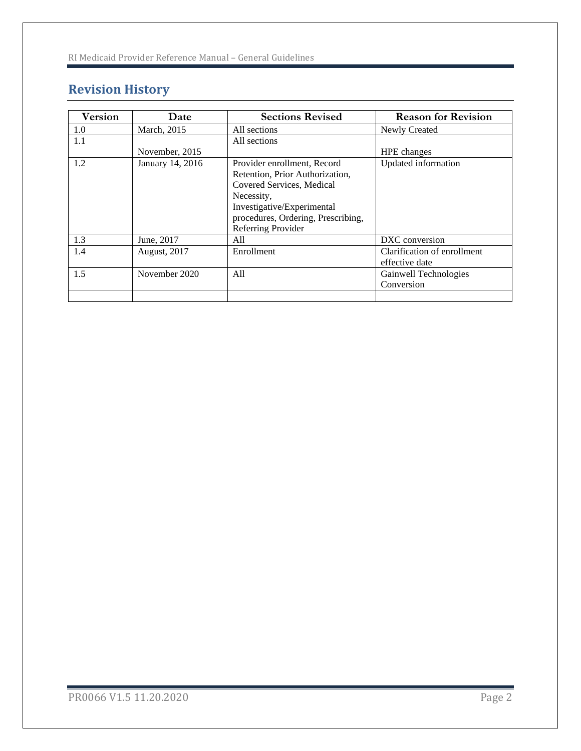# **Revision History**

| <b>Version</b> | Date             | <b>Sections Revised</b>            | <b>Reason for Revision</b>  |
|----------------|------------------|------------------------------------|-----------------------------|
| 1.0            | March, 2015      | All sections                       | Newly Created               |
| 1.1            |                  | All sections                       |                             |
|                | November, 2015   |                                    | <b>HPE</b> changes          |
| 1.2            | January 14, 2016 | Provider enrollment, Record        | Updated information         |
|                |                  | Retention, Prior Authorization,    |                             |
|                |                  | Covered Services, Medical          |                             |
|                |                  | Necessity,                         |                             |
|                |                  | Investigative/Experimental         |                             |
|                |                  | procedures, Ordering, Prescribing, |                             |
|                |                  | Referring Provider                 |                             |
| 1.3            | June, 2017       | All                                | DXC conversion              |
| 1.4            | August, 2017     | Enrollment                         | Clarification of enrollment |
|                |                  |                                    | effective date              |
| 1.5            | November 2020    | A11                                | Gainwell Technologies       |
|                |                  |                                    | Conversion                  |
|                |                  |                                    |                             |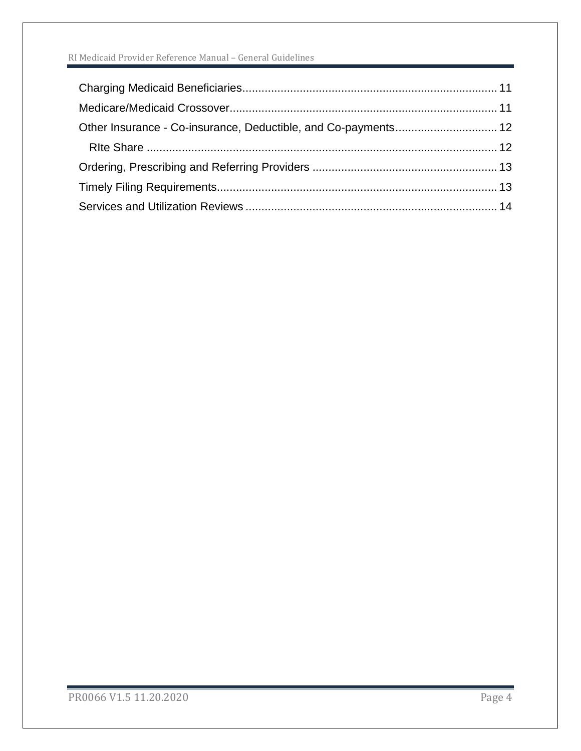#### RI Medicaid Provider Reference Manual – General Guidelines

| Other Insurance - Co-insurance, Deductible, and Co-payments 12 |  |
|----------------------------------------------------------------|--|
|                                                                |  |
|                                                                |  |
|                                                                |  |
|                                                                |  |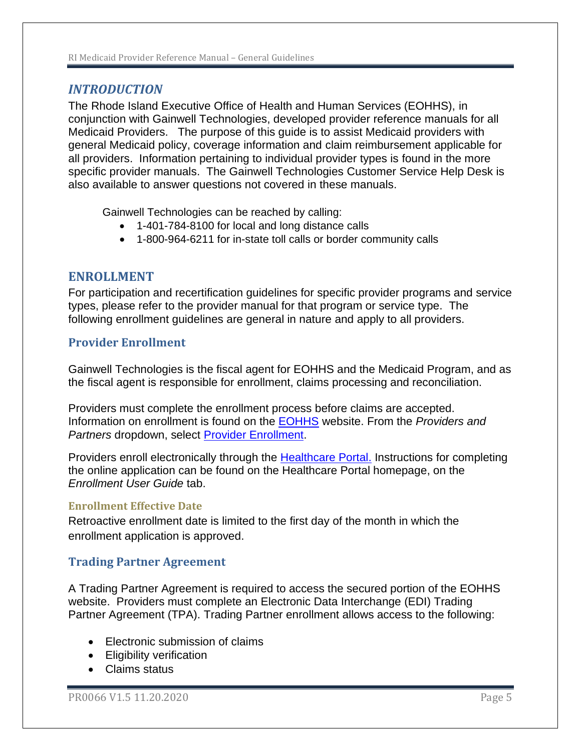# <span id="page-4-0"></span>*INTRODUCTION*

The Rhode Island Executive Office of Health and Human Services (EOHHS), in conjunction with Gainwell Technologies, developed provider reference manuals for all Medicaid Providers. The purpose of this guide is to assist Medicaid providers with general Medicaid policy, coverage information and claim reimbursement applicable for all providers. Information pertaining to individual provider types is found in the more specific provider manuals. The Gainwell Technologies Customer Service Help Desk is also available to answer questions not covered in these manuals.

Gainwell Technologies can be reached by calling:

- 1-401-784-8100 for local and long distance calls
- 1-800-964-6211 for in-state toll calls or border community calls

### <span id="page-4-1"></span>**ENROLLMENT**

For participation and recertification guidelines for specific provider programs and service types, please refer to the provider manual for that program or service type. The following enrollment guidelines are general in nature and apply to all providers.

### <span id="page-4-2"></span>**Provider Enrollment**

Gainwell Technologies is the fiscal agent for EOHHS and the Medicaid Program, and as the fiscal agent is responsible for enrollment, claims processing and reconciliation.

Providers must complete the enrollment process before claims are accepted. Information on enrollment is found on the [EOHHS](http://www.eohhs.ri.gov/) website. From the *Providers and Partners* dropdown, select [Provider Enrollment.](http://www.eohhs.ri.gov/ProvidersPartners/ProviderEnrollment.aspx)

Providers enroll electronically through the [Healthcare Portal.](http://www.riproviderportal.org/) Instructions for completing the online application can be found on the Healthcare Portal homepage, on the *Enrollment User Guide* tab.

#### <span id="page-4-3"></span>**Enrollment Effective Date**

Retroactive enrollment date is limited to the first day of the month in which the enrollment application is approved.

#### <span id="page-4-4"></span>**Trading Partner Agreement**

A Trading Partner Agreement is required to access the secured portion of the EOHHS website. Providers must complete an Electronic Data Interchange (EDI) Trading Partner Agreement (TPA). Trading Partner enrollment allows access to the following:

- Flectronic submission of claims
- Eligibility verification
- Claims status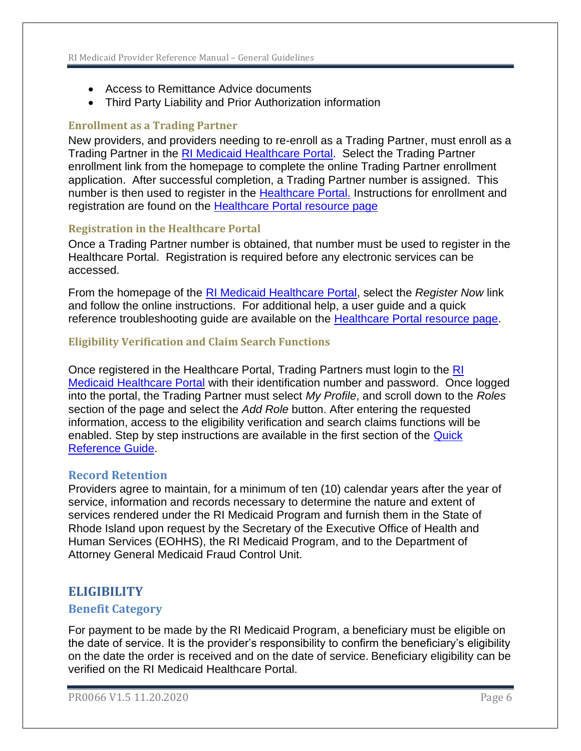- Access to Remittance Advice documents
- Third Party Liability and Prior Authorization information

## <span id="page-5-0"></span>**Enrollment as a Trading Partner**

New providers, and providers needing to re-enroll as a Trading Partner, must enroll as a Trading Partner in the [RI Medicaid Healthcare Portal.](http://www.riproviderportal.org/) Select the Trading Partner enrollment link from the homepage to complete the online Trading Partner enrollment application. After successful completion, a Trading Partner number is assigned. This number is then used to register in the [Healthcare Portal.](http://www.riproviderportal.org/) Instructions for enrollment and registration are found on the **Healthcare Portal resource page** 

# <span id="page-5-1"></span>**Registration in the Healthcare Portal**

Once a Trading Partner number is obtained, that number must be used to register in the Healthcare Portal. Registration is required before any electronic services can be accessed.

From the homepage of the [RI Medicaid Healthcare Portal,](http://www.riproviderportal.org/) select the *Register Now* link and follow the online instructions. For additional help, a user guide and a quick reference troubleshooting guide are available on the [Healthcare Portal resource page.](http://www.eohhs.ri.gov/ProvidersPartners/HealthcarePortal.aspx)

# <span id="page-5-2"></span>**Eligibility Verification and Claim Search Functions**

Once registered in the Healthcare Portal, Trading Partners must login to the [RI](http://www.riproviderportal.org/)  [Medicaid Healthcare Portal](http://www.riproviderportal.org/) with their identification number and password. Once logged into the portal, the Trading Partner must select *My Profile*, and scroll down to the *Roles* section of the page and select the *Add Role* button. After entering the requested information, access to the eligibility verification and search claims functions will be enabled. Step by step instructions are available in the first section of the [Quick](http://www.eohhs.ri.gov/Portals/0/Uploads/Documents/Access_to_Web_Services.pdf)  [Reference Guide.](http://www.eohhs.ri.gov/Portals/0/Uploads/Documents/Access_to_Web_Services.pdf)

# <span id="page-5-3"></span>**Record Retention**

Providers agree to maintain, for a minimum of ten (10) calendar years after the year of service, information and records necessary to determine the nature and extent of services rendered under the RI Medicaid Program and furnish them in the State of Rhode Island upon request by the Secretary of the Executive Office of Health and Human Services (EOHHS), the RI Medicaid Program, and to the Department of Attorney General Medicaid Fraud Control Unit.

# <span id="page-5-4"></span>**ELIGIBILITY**

# <span id="page-5-5"></span>**Benefit Category**

For payment to be made by the RI Medicaid Program, a beneficiary must be eligible on the date of service. It is the provider's responsibility to confirm the beneficiary's eligibility on the date the order is received and on the date of service. Beneficiary eligibility can be verified on the RI Medicaid Healthcare Portal.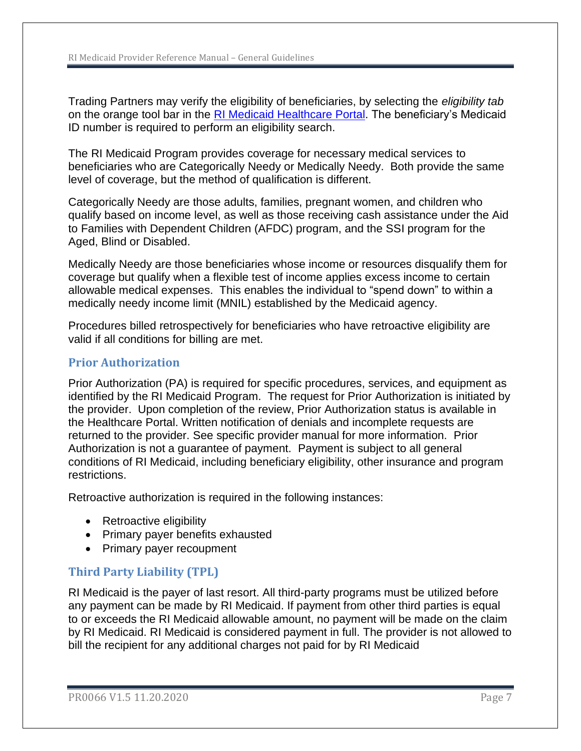Trading Partners may verify the eligibility of beneficiaries, by selecting the *eligibility tab* on the orange tool bar in the [RI Medicaid Healthcare Portal.](http://www.riproviderportal.org/) The beneficiary's Medicaid ID number is required to perform an eligibility search.

The RI Medicaid Program provides coverage for necessary medical services to beneficiaries who are Categorically Needy or Medically Needy. Both provide the same level of coverage, but the method of qualification is different.

Categorically Needy are those adults, families, pregnant women, and children who qualify based on income level, as well as those receiving cash assistance under the Aid to Families with Dependent Children (AFDC) program, and the SSI program for the Aged, Blind or Disabled.

Medically Needy are those beneficiaries whose income or resources disqualify them for coverage but qualify when a flexible test of income applies excess income to certain allowable medical expenses. This enables the individual to "spend down" to within a medically needy income limit (MNIL) established by the Medicaid agency.

Procedures billed retrospectively for beneficiaries who have retroactive eligibility are valid if all conditions for billing are met.

### <span id="page-6-0"></span>**Prior Authorization**

Prior Authorization (PA) is required for specific procedures, services, and equipment as identified by the RI Medicaid Program. The request for Prior Authorization is initiated by the provider. Upon completion of the review, Prior Authorization status is available in the Healthcare Portal. Written notification of denials and incomplete requests are returned to the provider. See specific provider manual for more information. Prior Authorization is not a guarantee of payment. Payment is subject to all general conditions of RI Medicaid, including beneficiary eligibility, other insurance and program restrictions.

Retroactive authorization is required in the following instances:

- Retroactive eligibility
- Primary payer benefits exhausted
- Primary payer recoupment

# <span id="page-6-1"></span>**Third Party Liability (TPL)**

RI Medicaid is the payer of last resort. All third-party programs must be utilized before any payment can be made by RI Medicaid. If payment from other third parties is equal to or exceeds the RI Medicaid allowable amount, no payment will be made on the claim by RI Medicaid. RI Medicaid is considered payment in full. The provider is not allowed to bill the recipient for any additional charges not paid for by RI Medicaid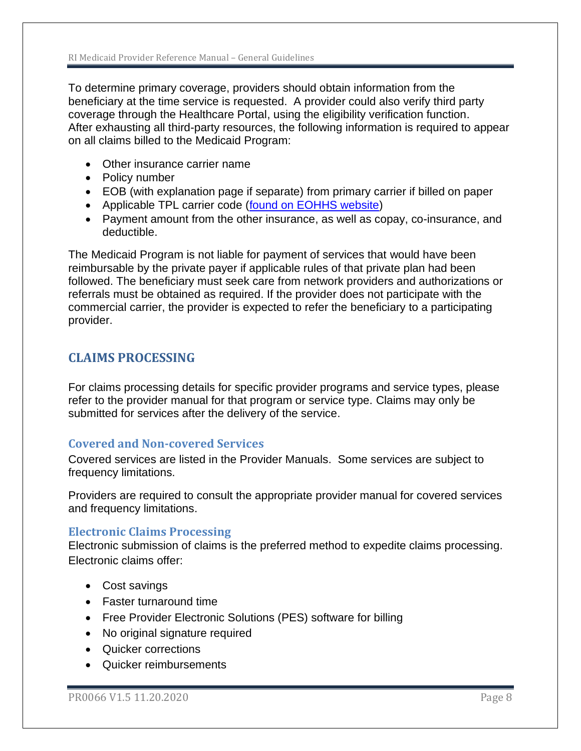To determine primary coverage, providers should obtain information from the beneficiary at the time service is requested. A provider could also verify third party coverage through the Healthcare Portal, using the eligibility verification function. After exhausting all third-party resources, the following information is required to appear on all claims billed to the Medicaid Program:

- Other insurance carrier name
- Policy number
- EOB (with explanation page if separate) from primary carrier if billed on paper
- Applicable TPL carrier code [\(found on EOHHS website\)](http://www.eohhs.ri.gov/Portals/0/Uploads/Documents/carrier_code.pdf)
- Payment amount from the other insurance, as well as copay, co-insurance, and deductible.

The Medicaid Program is not liable for payment of services that would have been reimbursable by the private payer if applicable rules of that private plan had been followed. The beneficiary must seek care from network providers and authorizations or referrals must be obtained as required. If the provider does not participate with the commercial carrier, the provider is expected to refer the beneficiary to a participating provider.

# <span id="page-7-0"></span>**CLAIMS PROCESSING**

For claims processing details for specific provider programs and service types, please refer to the provider manual for that program or service type. Claims may only be submitted for services after the delivery of the service.

# <span id="page-7-1"></span>**Covered and Non-covered Services**

Covered services are listed in the Provider Manuals. Some services are subject to frequency limitations.

Providers are required to consult the appropriate provider manual for covered services and frequency limitations.

# <span id="page-7-2"></span>**Electronic Claims Processing**

Electronic submission of claims is the preferred method to expedite claims processing. Electronic claims offer:

- Cost savings
- Faster turnaround time
- Free Provider Electronic Solutions (PES) software for billing
- No original signature required
- Quicker corrections
- Quicker reimbursements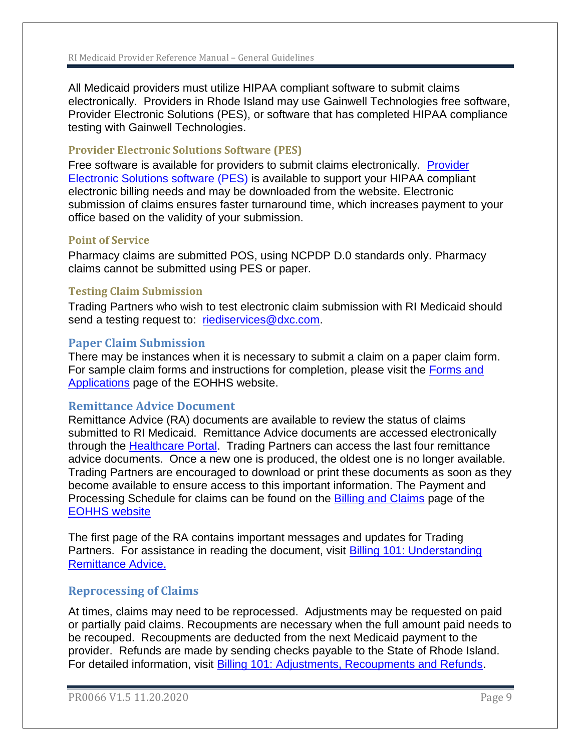All Medicaid providers must utilize HIPAA compliant software to submit claims electronically. Providers in Rhode Island may use Gainwell Technologies free software, Provider Electronic Solutions (PES), or software that has completed HIPAA compliance testing with Gainwell Technologies.

#### <span id="page-8-0"></span>**Provider Electronic Solutions Software (PES)**

Free software is available for providers to submit claims electronically. [Provider](http://www.eohhs.ri.gov/ProvidersPartners/BillingampClaims/ProviderElectronicSolutionsPESSoftware.aspx)  [Electronic Solutions software \(PES\)](http://www.eohhs.ri.gov/ProvidersPartners/BillingampClaims/ProviderElectronicSolutionsPESSoftware.aspx) is available to support your HIPAA compliant electronic billing needs and may be downloaded from the website. Electronic submission of claims ensures faster turnaround time, which increases payment to your office based on the validity of your submission.

#### <span id="page-8-1"></span>**Point of Service**

Pharmacy claims are submitted POS, using NCPDP D.0 standards only. Pharmacy claims cannot be submitted using PES or paper.

#### <span id="page-8-2"></span>**Testing Claim Submission**

Trading Partners who wish to test electronic claim submission with RI Medicaid should send a testing request to: [riediservices@dxc.com.](mailto:riediservices@dxc.com)

### <span id="page-8-3"></span>**Paper Claim Submission**

There may be instances when it is necessary to submit a claim on a paper claim form. For sample claim forms and instructions for completion, please visit the [Forms and](http://www.eohhs.ri.gov/ProvidersPartners/FormsApplications.aspx)  [Applications](http://www.eohhs.ri.gov/ProvidersPartners/FormsApplications.aspx) page of the EOHHS website.

#### <span id="page-8-4"></span>**Remittance Advice Document**

Remittance Advice (RA) documents are available to review the status of claims submitted to RI Medicaid. Remittance Advice documents are accessed electronically through the **Healthcare Portal.** Trading Partners can access the last four remittance advice documents. Once a new one is produced, the oldest one is no longer available. Trading Partners are encouraged to download or print these documents as soon as they become available to ensure access to this important information. The Payment and Processing Schedule for claims can be found on the **Billing and Claims** page of the [EOHHS website](http://www.eohhs.ri.gov/)

The first page of the RA contains important messages and updates for Trading Partners. For assistance in reading the document, visit **Billing 101: Understanding** [Remittance Advice.](http://www.eohhs.ri.gov/ProvidersPartners/ProviderTrainingandEducation.aspx) 

#### <span id="page-8-5"></span>**Reprocessing of Claims**

At times, claims may need to be reprocessed. Adjustments may be requested on paid or partially paid claims. Recoupments are necessary when the full amount paid needs to be recouped. Recoupments are deducted from the next Medicaid payment to the provider. Refunds are made by sending checks payable to the State of Rhode Island. For detailed information, visit [Billing 101: Adjustments, Recoupments and Refunds.](http://www.eohhs.ri.gov/Portals/0/Uploads/Documents/Billing101_Part3_slides.pdf)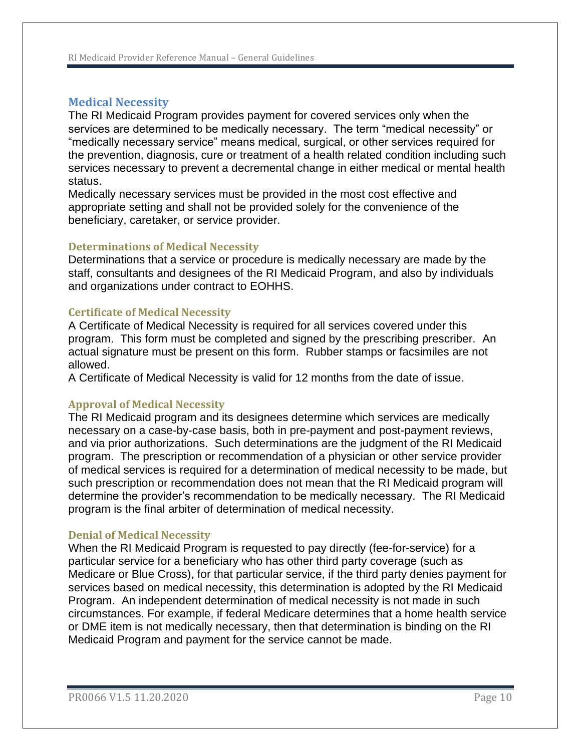# <span id="page-9-0"></span>**Medical Necessity**

The RI Medicaid Program provides payment for covered services only when the services are determined to be medically necessary. The term "medical necessity" or "medically necessary service" means medical, surgical, or other services required for the prevention, diagnosis, cure or treatment of a health related condition including such services necessary to prevent a decremental change in either medical or mental health status.

Medically necessary services must be provided in the most cost effective and appropriate setting and shall not be provided solely for the convenience of the beneficiary, caretaker, or service provider.

#### <span id="page-9-1"></span>**Determinations of Medical Necessity**

Determinations that a service or procedure is medically necessary are made by the staff, consultants and designees of the RI Medicaid Program, and also by individuals and organizations under contract to EOHHS.

#### <span id="page-9-2"></span>**Certificate of Medical Necessity**

A Certificate of Medical Necessity is required for all services covered under this program. This form must be completed and signed by the prescribing prescriber. An actual signature must be present on this form. Rubber stamps or facsimiles are not allowed.

A Certificate of Medical Necessity is valid for 12 months from the date of issue.

#### <span id="page-9-3"></span>**Approval of Medical Necessity**

The RI Medicaid program and its designees determine which services are medically necessary on a case-by-case basis, both in pre-payment and post-payment reviews, and via prior authorizations. Such determinations are the judgment of the RI Medicaid program. The prescription or recommendation of a physician or other service provider of medical services is required for a determination of medical necessity to be made, but such prescription or recommendation does not mean that the RI Medicaid program will determine the provider's recommendation to be medically necessary. The RI Medicaid program is the final arbiter of determination of medical necessity.

#### <span id="page-9-4"></span>**Denial of Medical Necessity**

When the RI Medicaid Program is requested to pay directly (fee-for-service) for a particular service for a beneficiary who has other third party coverage (such as Medicare or Blue Cross), for that particular service, if the third party denies payment for services based on medical necessity, this determination is adopted by the RI Medicaid Program. An independent determination of medical necessity is not made in such circumstances. For example, if federal Medicare determines that a home health service or DME item is not medically necessary, then that determination is binding on the RI Medicaid Program and payment for the service cannot be made.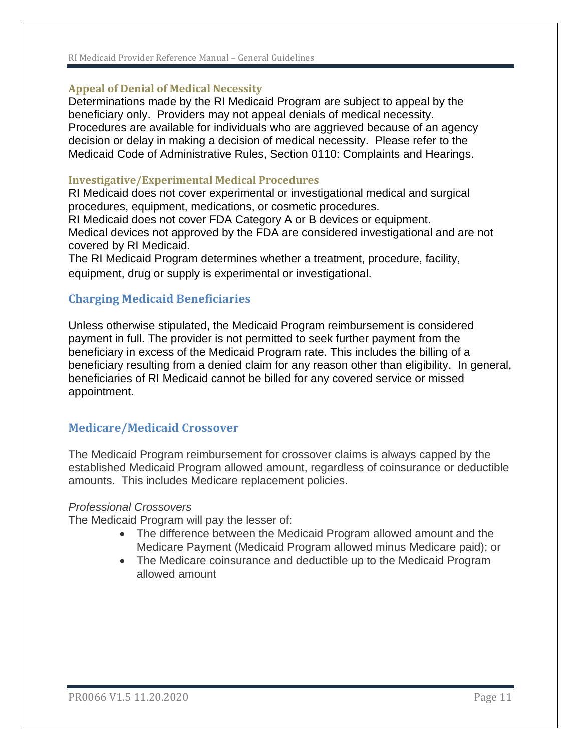#### RI Medicaid Provider Reference Manual – General Guidelines

#### <span id="page-10-0"></span>**Appeal of Denial of Medical Necessity**

Determinations made by the RI Medicaid Program are subject to appeal by the beneficiary only. Providers may not appeal denials of medical necessity. Procedures are available for individuals who are aggrieved because of an agency decision or delay in making a decision of medical necessity. Please refer to the Medicaid Code of Administrative Rules, Section 0110: Complaints and Hearings.

#### <span id="page-10-1"></span>**Investigative/Experimental Medical Procedures**

RI Medicaid does not cover experimental or investigational medical and surgical procedures, equipment, medications, or cosmetic procedures.

RI Medicaid does not cover FDA Category A or B devices or equipment. Medical devices not approved by the FDA are considered investigational and are not covered by RI Medicaid.

The RI Medicaid Program determines whether a treatment, procedure, facility, equipment, drug or supply is experimental or investigational.

### <span id="page-10-2"></span>**Charging Medicaid Beneficiaries**

Unless otherwise stipulated, the Medicaid Program reimbursement is considered payment in full. The provider is not permitted to seek further payment from the beneficiary in excess of the Medicaid Program rate. This includes the billing of a beneficiary resulting from a denied claim for any reason other than eligibility. In general, beneficiaries of RI Medicaid cannot be billed for any covered service or missed appointment.

#### <span id="page-10-3"></span>**Medicare/Medicaid Crossover**

The Medicaid Program reimbursement for crossover claims is always capped by the established Medicaid Program allowed amount, regardless of coinsurance or deductible amounts. This includes Medicare replacement policies.

#### *Professional Crossovers*

The Medicaid Program will pay the lesser of:

- The difference between the Medicaid Program allowed amount and the Medicare Payment (Medicaid Program allowed minus Medicare paid); or
- The Medicare coinsurance and deductible up to the Medicaid Program allowed amount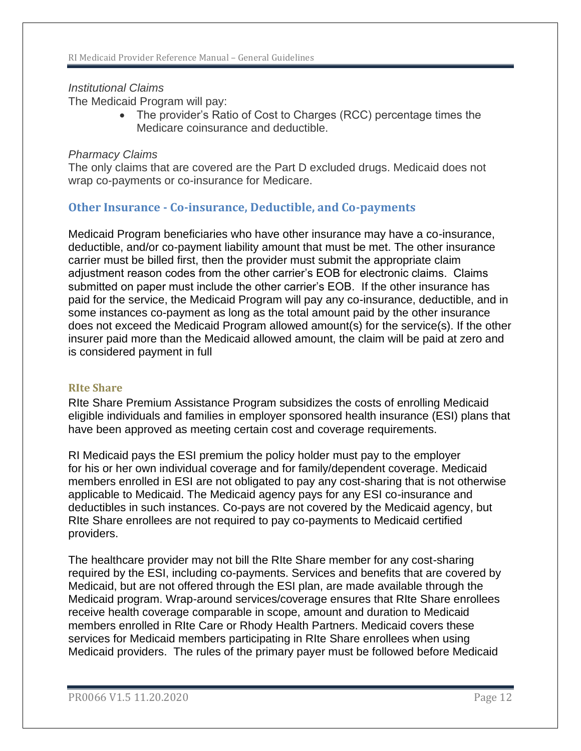## *Institutional Claims*

The Medicaid Program will pay:

• The provider's Ratio of Cost to Charges (RCC) percentage times the Medicare coinsurance and deductible.

### *Pharmacy Claims*

The only claims that are covered are the Part D excluded drugs. Medicaid does not wrap co-payments or co-insurance for Medicare.

# <span id="page-11-0"></span>**Other Insurance - Co-insurance, Deductible, and Co-payments**

Medicaid Program beneficiaries who have other insurance may have a co-insurance, deductible, and/or co-payment liability amount that must be met. The other insurance carrier must be billed first, then the provider must submit the appropriate claim adjustment reason codes from the other carrier's EOB for electronic claims. Claims submitted on paper must include the other carrier's EOB. If the other insurance has paid for the service, the Medicaid Program will pay any co-insurance, deductible, and in some instances co-payment as long as the total amount paid by the other insurance does not exceed the Medicaid Program allowed amount(s) for the service(s). If the other insurer paid more than the Medicaid allowed amount, the claim will be paid at zero and is considered payment in full

#### <span id="page-11-1"></span>**RIte Share**

RIte Share Premium Assistance Program subsidizes the costs of enrolling Medicaid eligible individuals and families in employer sponsored health insurance (ESI) plans that have been approved as meeting certain cost and coverage requirements.

RI Medicaid pays the ESI premium the policy holder must pay to the employer for his or her own individual coverage and for family/dependent coverage. Medicaid members enrolled in ESI are not obligated to pay any cost-sharing that is not otherwise applicable to Medicaid. The Medicaid agency pays for any ESI co-insurance and deductibles in such instances. Co-pays are not covered by the Medicaid agency, but RIte Share enrollees are not required to pay co-payments to Medicaid certified providers.

The healthcare provider may not bill the RIte Share member for any cost-sharing required by the ESI, including co-payments. Services and benefits that are covered by Medicaid, but are not offered through the ESI plan, are made available through the Medicaid program. Wrap-around services/coverage ensures that RIte Share enrollees receive health coverage comparable in scope, amount and duration to Medicaid members enrolled in RIte Care or Rhody Health Partners. Medicaid covers these services for Medicaid members participating in RIte Share enrollees when using Medicaid providers. The rules of the primary payer must be followed before Medicaid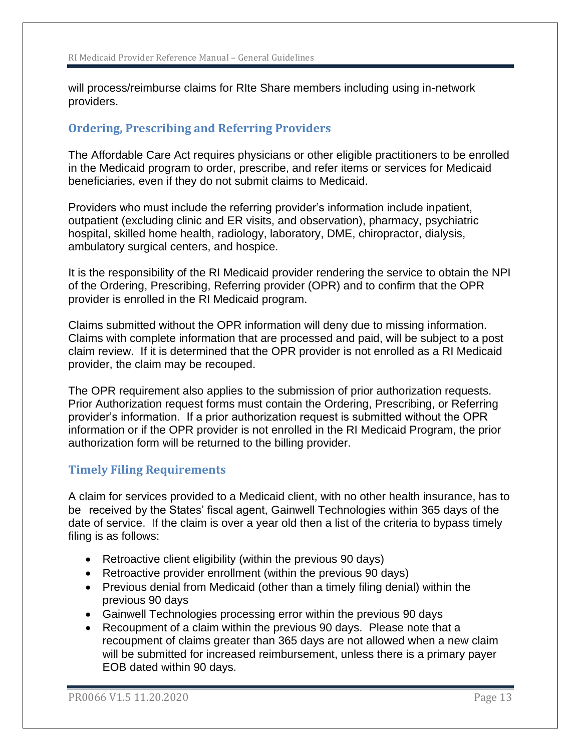will process/reimburse claims for RIte Share members including using in-network providers.

# <span id="page-12-0"></span>**Ordering, Prescribing and Referring Providers**

The Affordable Care Act requires physicians or other eligible practitioners to be enrolled in the Medicaid program to order, prescribe, and refer items or services for Medicaid beneficiaries, even if they do not submit claims to Medicaid.

Providers who must include the referring provider's information include inpatient, outpatient (excluding clinic and ER visits, and observation), pharmacy, psychiatric hospital, skilled home health, radiology, laboratory, DME, chiropractor, dialysis, ambulatory surgical centers, and hospice.

It is the responsibility of the RI Medicaid provider rendering the service to obtain the NPI of the Ordering, Prescribing, Referring provider (OPR) and to confirm that the OPR provider is enrolled in the RI Medicaid program.

Claims submitted without the OPR information will deny due to missing information. Claims with complete information that are processed and paid, will be subject to a post claim review. If it is determined that the OPR provider is not enrolled as a RI Medicaid provider, the claim may be recouped.

The OPR requirement also applies to the submission of prior authorization requests. Prior Authorization request forms must contain the Ordering, Prescribing, or Referring provider's information. If a prior authorization request is submitted without the OPR information or if the OPR provider is not enrolled in the RI Medicaid Program, the prior authorization form will be returned to the billing provider.

# <span id="page-12-1"></span>**Timely Filing Requirements**

A claim for services provided to a Medicaid client, with no other health insurance, has to be received by the States' fiscal agent, Gainwell Technologies within 365 days of the date of service. If the claim is over a year old then a list of the criteria to bypass timely filing is as follows:

- Retroactive client eligibility (within the previous 90 days)
- Retroactive provider enrollment (within the previous 90 days)
- Previous denial from Medicaid (other than a timely filing denial) within the previous 90 days
- Gainwell Technologies processing error within the previous 90 days
- Recoupment of a claim within the previous 90 days. Please note that a recoupment of claims greater than 365 days are not allowed when a new claim will be submitted for increased reimbursement, unless there is a primary payer EOB dated within 90 days.